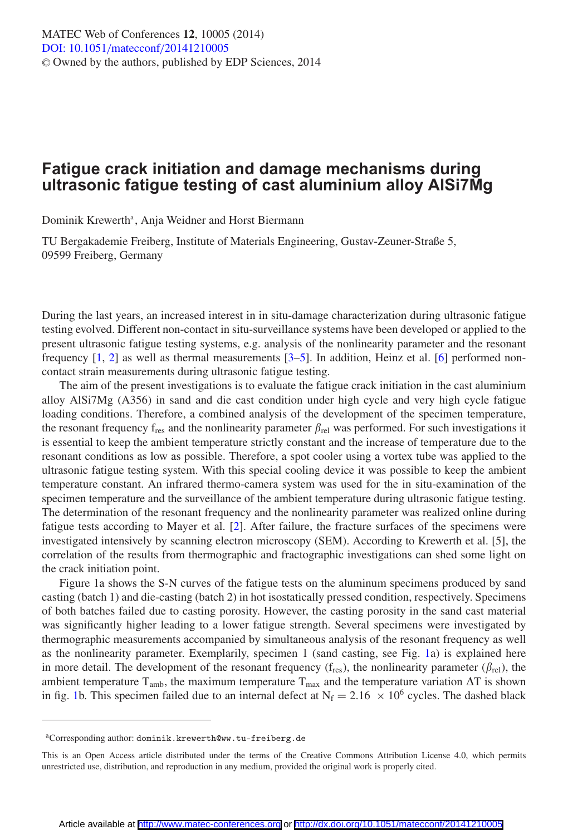## **Fatigue crack initiation and damage mechanisms during ultrasonic fatigue testing of cast aluminium alloy AlSi7Mg**

Dominik Krewerth<sup>a</sup>, Anja Weidner and Horst Biermann

TU Bergakademie Freiberg, Institute of Materials Engineering, Gustav-Zeuner-Straße 5, 09599 Freiberg, Germany

During the last years, an increased interest in in situ-damage characterization during ultrasonic fatigue testing evolved. Different non-contact in situ-surveillance systems have been developed or applied to the present ultrasonic fatigue testing systems, e.g. analysis of the nonlinearity parameter and the resonant frequency [\[1,](#page-2-0) [2](#page-2-1)] as well as thermal measurements [\[3](#page-2-2)[–5](#page-2-3)]. In addition, Heinz et al. [\[6](#page-2-4)] performed noncontact strain measurements during ultrasonic fatigue testing.

The aim of the present investigations is to evaluate the fatigue crack initiation in the cast aluminium alloy AlSi7Mg (A356) in sand and die cast condition under high cycle and very high cycle fatigue loading conditions. Therefore, a combined analysis of the development of the specimen temperature, the resonant frequency  $f_{res}$  and the nonlinearity parameter  $\beta_{rel}$  was performed. For such investigations it is essential to keep the ambient temperature strictly constant and the increase of temperature due to the resonant conditions as low as possible. Therefore, a spot cooler using a vortex tube was applied to the ultrasonic fatigue testing system. With this special cooling device it was possible to keep the ambient temperature constant. An infrared thermo-camera system was used for the in situ-examination of the specimen temperature and the surveillance of the ambient temperature during ultrasonic fatigue testing. The determination of the resonant frequency and the nonlinearity parameter was realized online during fatigue tests according to Mayer et al. [\[2](#page-2-1)]. After failure, the fracture surfaces of the specimens were investigated intensively by scanning electron microscopy (SEM). According to Krewerth et al. [5], the correlation of the results from thermographic and fractographic investigations can shed some light on the crack initiation point.

Figure 1a shows the S-N curves of the fatigue tests on the aluminum specimens produced by sand casting (batch 1) and die-casting (batch 2) in hot isostatically pressed condition, respectively. Specimens of both batches failed due to casting porosity. However, the casting porosity in the sand cast material was significantly higher leading to a lower fatigue strength. Several specimens were investigated by thermographic measurements accompanied by simultaneous analysis of the resonant frequency as well as the nonlinearity parameter. Exemplarily, specimen 1 (sand casting, see Fig. [1a](#page-1-0)) is explained here in more detail. The development of the resonant frequency ( $f_{res}$ ), the nonlinearity parameter ( $\beta_{rel}$ ), the ambient temperature  $T_{\text{amb}}$ , the maximum temperature  $T_{\text{max}}$  and the temperature variation  $\Delta T$  is shown in fig. [1b](#page-1-0). This specimen failed due to an internal defect at  $N_f = 2.16 \times 10^6$  cycles. The dashed black

aCorresponding author: dominik.krewerth@ww.tu-freiberg.de

This is an Open Access article distributed under the terms of the Creative Commons Attribution License 4.0, which permits unrestricted use, distribution, and reproduction in any medium, provided the original work is properly cited.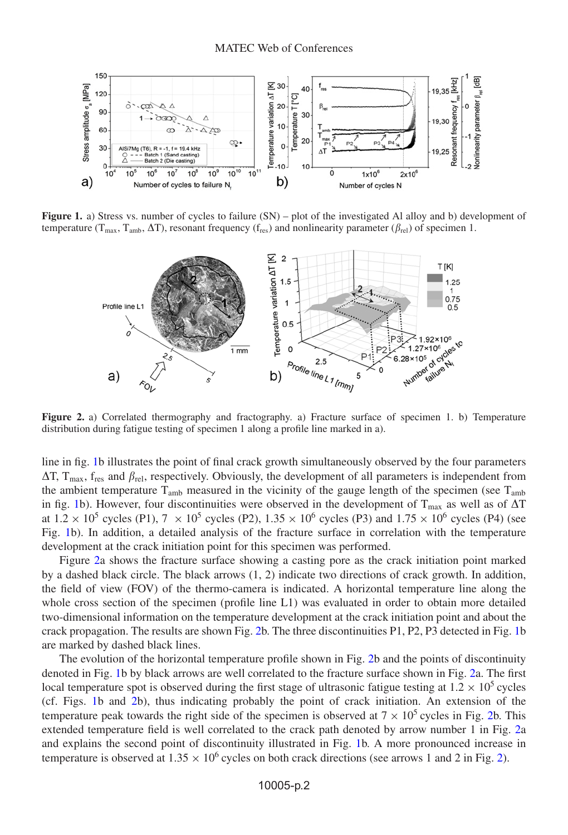<span id="page-1-0"></span>

<span id="page-1-1"></span>**Figure 1.** a) Stress vs. number of cycles to failure (SN) – plot of the investigated Al alloy and b) development of temperature ( $T_{\text{max}}$ ,  $T_{\text{amb}}$ ,  $\Delta T$ ), resonant frequency ( $f_{\text{res}}$ ) and nonlinearity parameter ( $\beta_{\text{rel}}$ ) of specimen 1.



**Figure 2.** a) Correlated thermography and fractography. a) Fracture surface of specimen 1. b) Temperature distribution during fatigue testing of specimen 1 along a profile line marked in a).

line in fig. [1b](#page-1-0) illustrates the point of final crack growth simultaneously observed by the four parameters  $\Delta T$ ,  $T_{\text{max}}$ ,  $f_{\text{res}}$  and  $\beta_{\text{rel}}$ , respectively. Obviously, the development of all parameters is independent from the ambient temperature  $T_{amb}$  measured in the vicinity of the gauge length of the specimen (see  $T_{amb}$ ) in fig. [1b](#page-1-0)). However, four discontinuities were observed in the development of  $T_{\text{max}}$  as well as of  $\Delta T$ at  $1.2 \times 10^5$  cycles (P1),  $7 \times 10^5$  cycles (P2),  $1.35 \times 10^6$  cycles (P3) and  $1.75 \times 10^6$  cycles (P4) (see Fig. [1b](#page-1-0)). In addition, a detailed analysis of the fracture surface in correlation with the temperature development at the crack initiation point for this specimen was performed.

Figure [2a](#page-1-1) shows the fracture surface showing a casting pore as the crack initiation point marked by a dashed black circle. The black arrows (1, 2) indicate two directions of crack growth. In addition, the field of view (FOV) of the thermo-camera is indicated. A horizontal temperature line along the whole cross section of the specimen (profile line L1) was evaluated in order to obtain more detailed two-dimensional information on the temperature development at the crack initiation point and about the crack propagation. The results are shown Fig. [2b](#page-1-1). The three discontinuities P1, P2, P3 detected in Fig. [1b](#page-1-0) are marked by dashed black lines.

The evolution of the horizontal temperature profile shown in Fig. [2b](#page-1-1) and the points of discontinuity denoted in Fig. [1b](#page-1-0) by black arrows are well correlated to the fracture surface shown in Fig. [2a](#page-1-1). The first local temperature spot is observed during the first stage of ultrasonic fatigue testing at  $1.2 \times 10^5$  cycles (cf. Figs. [1b](#page-1-0) and [2b](#page-1-1)), thus indicating probably the point of crack initiation. An extension of the temperature peak towards the right side of the specimen is observed at  $7 \times 10^5$  cycles in Fig. [2b](#page-1-1). This extended temperature field is well correlated to the crack path denoted by arrow number 1 in Fig. [2a](#page-1-1) and explains the second point of discontinuity illustrated in Fig. [1b](#page-1-0). A more pronounced increase in temperature is observed at  $1.35 \times 10^6$  cycles on both crack directions (see arrows 1 and 2 in Fig. [2\)](#page-1-1).